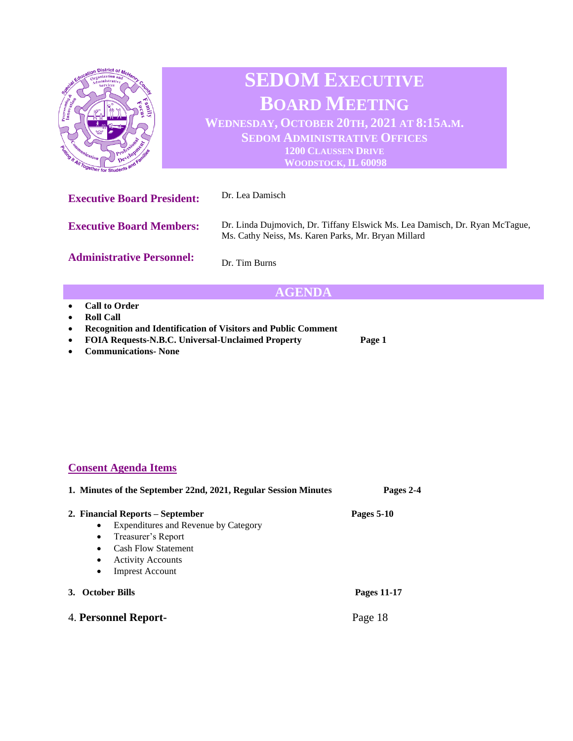

## **AGENDA**

- **Call to Order**
- **Roll Call**
- **Recognition and Identification of Visitors and Public Comment**
- **FOIA Requests-N.B.C. Universal-Unclaimed Property Page 1**
- **Communications- None**

## **Consent Agenda Items**

| 1. Minutes of the September 22nd, 2021, Regular Session Minutes                                                                                                                                                             | Pages 2-4   |
|-----------------------------------------------------------------------------------------------------------------------------------------------------------------------------------------------------------------------------|-------------|
| 2. Financial Reports – September<br>Expenditures and Revenue by Category<br>٠<br>Treasurer's Report<br>٠<br><b>Cash Flow Statement</b><br>$\bullet$<br><b>Activity Accounts</b><br>$\bullet$<br><b>Imprest Account</b><br>٠ | Pages 5-10  |
| <b>October Bills</b><br><b>3.</b>                                                                                                                                                                                           | Pages 11-17 |
| 4. Personnel Report-                                                                                                                                                                                                        | Page 18     |